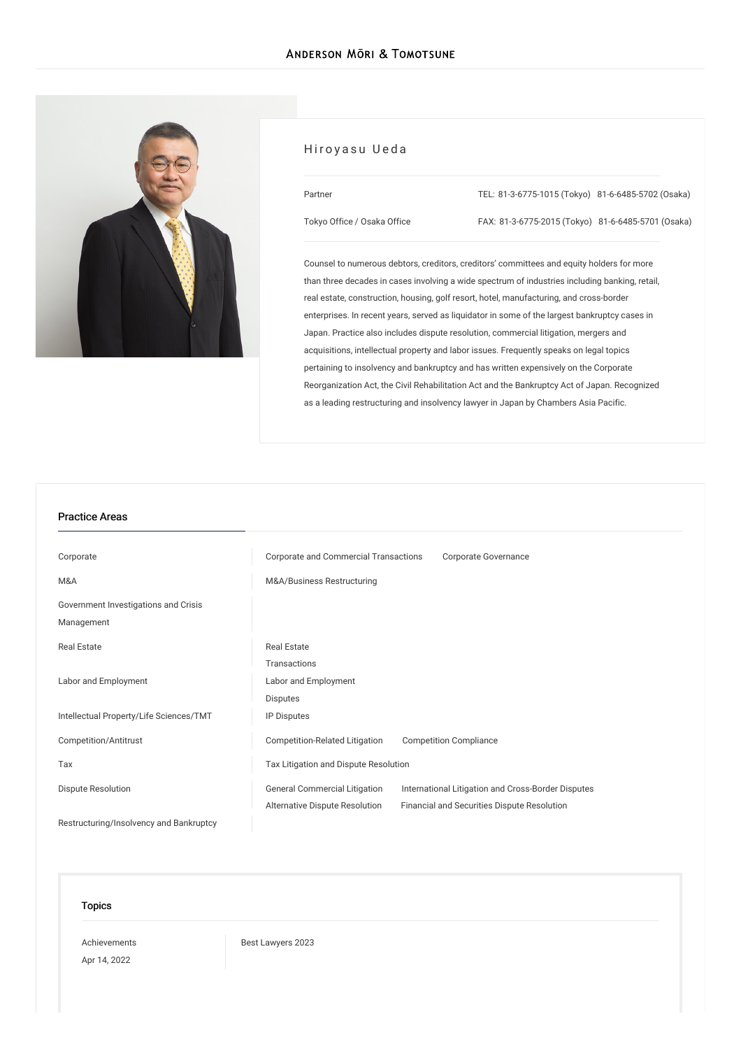

## Hiroyasu Ueda

| Tokyo Office / Osaka Office |  |
|-----------------------------|--|

Partner

TEL: [81-3-6775-1015](tel:81-3-6775-1015) (Tokyo) [81-6-6485-5702](tel:81-6-6485-5702) (Osaka)

FAX: 81-3-6775-2015 (Tokyo) 81-6-6485-5701 (Osaka)

Counsel to numerous debtors, creditors, creditors' committees and equity holders for more than three decades in cases involving a wide spectrum of industries including banking, retail, real estate, construction, housing, golf resort, hotel, manufacturing, and cross-border enterprises. In recent years, served as liquidator in some of the largest bankruptcy cases in Japan. Practice also includes dispute resolution, commercial litigation, mergers and acquisitions, intellectual property and labor issues. Frequently speaks on legal topics pertaining to insolvency and bankruptcy and has written expensively on the Corporate Reorganization Act, the Civil Rehabilitation Act and the Bankruptcy Act of Japan. Recognized as a leading restructuring and insolvency lawyer in Japan by Chambers Asia Pacific.

#### Practice Areas

| Corporate                               | Corporate and Commercial Transactions                           | Corporate Governance                               |
|-----------------------------------------|-----------------------------------------------------------------|----------------------------------------------------|
| M&A                                     | M&A/Business Restructuring                                      |                                                    |
| Government Investigations and Crisis    |                                                                 |                                                    |
| Management                              |                                                                 |                                                    |
| Real Estate                             | <b>Real Estate</b>                                              |                                                    |
|                                         | Transactions                                                    |                                                    |
| Labor and Employment                    | Labor and Employment                                            |                                                    |
|                                         | <b>Disputes</b>                                                 |                                                    |
| Intellectual Property/Life Sciences/TMT | IP Disputes                                                     |                                                    |
| Competition/Antitrust                   | Competition-Related Litigation<br><b>Competition Compliance</b> |                                                    |
| Tax                                     | Tax Litigation and Dispute Resolution                           |                                                    |
| <b>Dispute Resolution</b>               | <b>General Commercial Litigation</b>                            | International Litigation and Cross-Border Disputes |
|                                         | Alternative Dispute Resolution                                  | Financial and Securities Dispute Resolution        |
| Restructuring/Insolvency and Bankruptcy |                                                                 |                                                    |

#### Topics

[Achievements](/en/news/achievements/) Apr 14, 2022

Best [Lawyers](/en/news/detail/news_0024840_en_001) 2023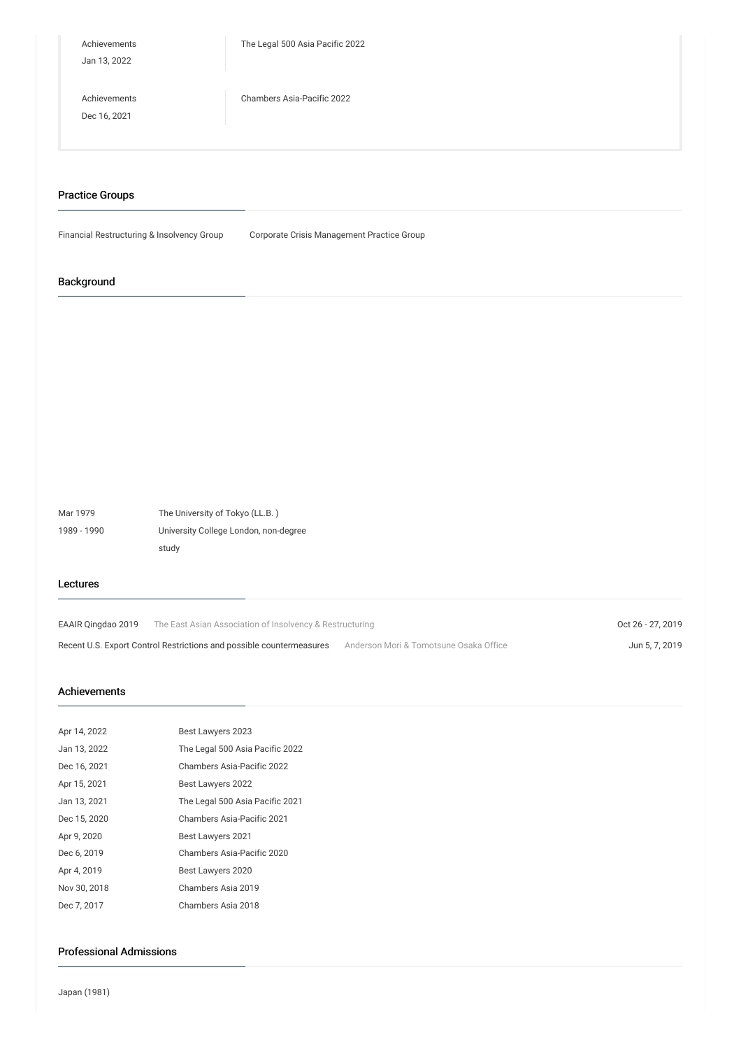| Achievements<br>Jan 13, 2022 | The Legal 500 Asia Pacific 2022 |
|------------------------------|---------------------------------|
| Achievements<br>Dec 16, 2021 | Chambers Asia-Pacific 2022      |

### Practice Groups

Financial Restructuring & Insolvency Group Corporate Crisis Management Practice Group

## Background

Mar 1979 The University of Tokyo (LL.B. ) 1989 - 1990 University College London, non-degree study

#### Lectures

EAAIR [Qingdao](/en/seminars/detail/seminar_0020833_en_001) 2019 The East Asian Association of Insolvency & Restructuring Case Content Content Content Content Content Content Content Content Content Content Content Content Content Content Content Content Content Conte Recent U.S. Export Control Restrictions and possible [countermeasures](/en/seminars/detail/seminar_0020295_en_001) Anderson Mori & Tomotsune Osaka Office Jun 5, 7, 2019

### Achievements

| Apr 14, 2022 | Best Lawyers 2023               |
|--------------|---------------------------------|
| Jan 13, 2022 | The Legal 500 Asia Pacific 2022 |
| Dec 16, 2021 | Chambers Asia-Pacific 2022      |
| Apr 15, 2021 | Best Lawyers 2022               |
| Jan 13, 2021 | The Legal 500 Asia Pacific 2021 |
| Dec 15, 2020 | Chambers Asia-Pacific 2021      |
| Apr 9, 2020  | Best Lawyers 2021               |
| Dec 6, 2019  | Chambers Asia-Pacific 2020      |
| Apr 4, 2019  | Best Lawyers 2020               |
| Nov 30, 2018 | Chambers Asia 2019              |
| Dec 7, 2017  | Chambers Asia 2018              |

## Professional Admissions

Japan (1981)